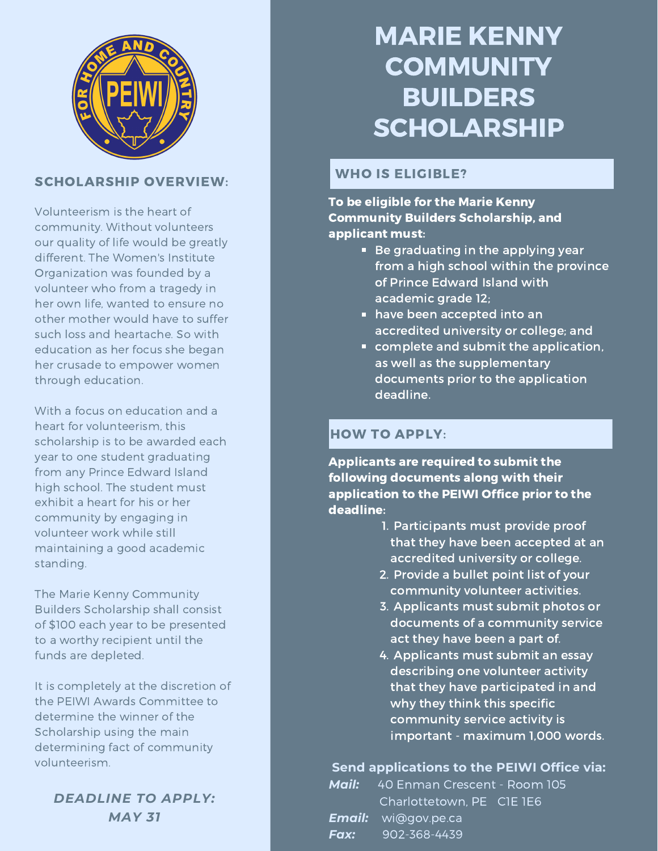

# SCHOLARSHIP OVERVIEW:

Volunteerism is the heart of community. Without volunteers our quality of life would be greatly different. The Women's Institute Organization was founded by a volunteer who from a tragedy in her own life, wanted to ensure no other mother would have to suffer such loss and heartache. So with education as her focus she began her crusade to empower women through education.

With a focus on education and a heart for volunteerism, this scholarship is to be awarded each year to one student graduating from any Prince Edward Island high school. The student must exhibit a heart for his or her community by engaging in volunteer work while still maintaining a good academic standing.

The Marie Kenny Community Builders Scholarship shall consist of \$100 each year to be presented to a worthy recipient until the funds are depleted.

It is completely at the discretion of the PEIWI Awards Committee to determine the winner of the Scholarship using the main determining fact of community volunteerism.

*DEADLINE TO APPLY: MAY 31*

# MARIE KENNY **COMMUNITY** BUILDERS **SCHOLARSHIP**

# WHO IS ELIGIBLE?

To be eligible for the Marie Kenny Community Builders Scholarship, and applicant must:

- $\blacksquare$  Be graduating in the applying year from a high school within the province of Prince Edward Island with academic grade 12;
- **have been accepted into an** accredited university or college; and
- complete and submit the application, as well as the supplementary documents prior to the application deadline.

### HOW TO APPLY:

Applicants are required to submit the following documents along with their application to the PEIWI Office prior to the deadline:

- 1. Participants must provide proof that they have been accepted at an accredited university or college.
- 2. Provide a bullet point list of your community volunteer activities.
- 3. Applicants must submit photos or documents of a community service act they have been a part of.
- 4. Applicants must submit an essay describing one volunteer activity that they have participated in and why they think this specific community service activity is important - maximum 1,000 words.

#### **Send applications to the PEIWI Office via:**

|      | <b>Mail:</b> 40 Enman Crescent - Room 105 |
|------|-------------------------------------------|
|      | Charlottetown, PE CIE 1E6                 |
|      | <b>Email:</b> wi@gov.pe.ca                |
| Fax: | 902-368-4439                              |